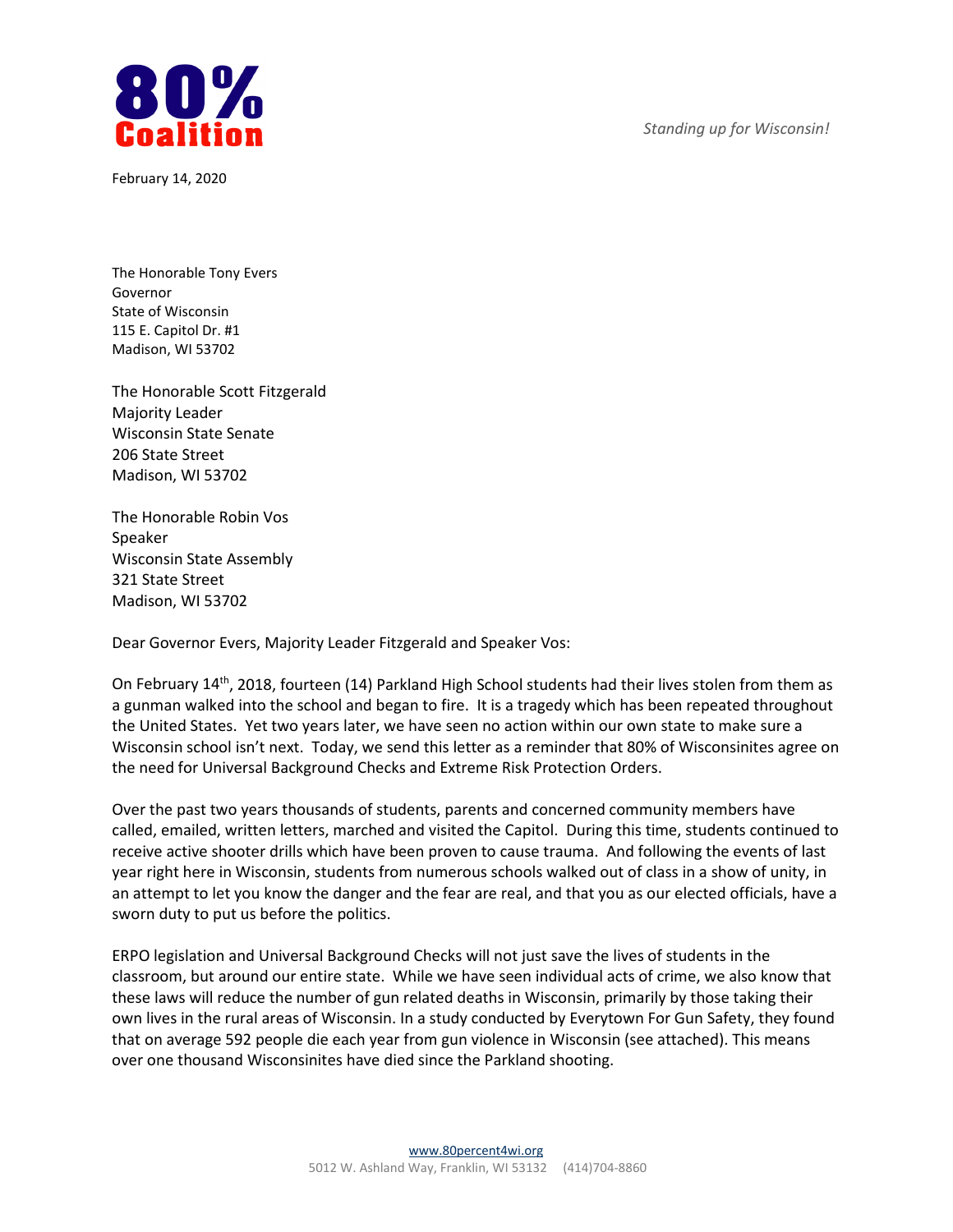

February 14, 2020

*Standing up for Wisconsin!*

The Honorable Tony Evers Governor State of Wisconsin 115 E. Capitol Dr. #1 Madison, WI 53702

The Honorable Scott Fitzgerald Majority Leader Wisconsin State Senate 206 State Street Madison, WI 53702

The Honorable Robin Vos Speaker Wisconsin State Assembly 321 State Street Madison, WI 53702

Dear Governor Evers, Majority Leader Fitzgerald and Speaker Vos:

On February 14th, 2018, fourteen (14) Parkland High School students had their lives stolen from them as a gunman walked into the school and began to fire. It is a tragedy which has been repeated throughout the United States. Yet two years later, we have seen no action within our own state to make sure a Wisconsin school isn't next. Today, we send this letter as a reminder that 80% of Wisconsinites agree on the need for Universal Background Checks and Extreme Risk Protection Orders.

Over the past two years thousands of students, parents and concerned community members have called, emailed, written letters, marched and visited the Capitol. During this time, students continued to receive active shooter drills which have been proven to cause trauma. And following the events of last year right here in Wisconsin, students from numerous schools walked out of class in a show of unity, in an attempt to let you know the danger and the fear are real, and that you as our elected officials, have a sworn duty to put us before the politics.

ERPO legislation and Universal Background Checks will not just save the lives of students in the classroom, but around our entire state. While we have seen individual acts of crime, we also know that these laws will reduce the number of gun related deaths in Wisconsin, primarily by those taking their own lives in the rural areas of Wisconsin. In a study conducted by Everytown For Gun Safety, they found that on average 592 people die each year from gun violence in Wisconsin (see attached). This means over one thousand Wisconsinites have died since the Parkland shooting.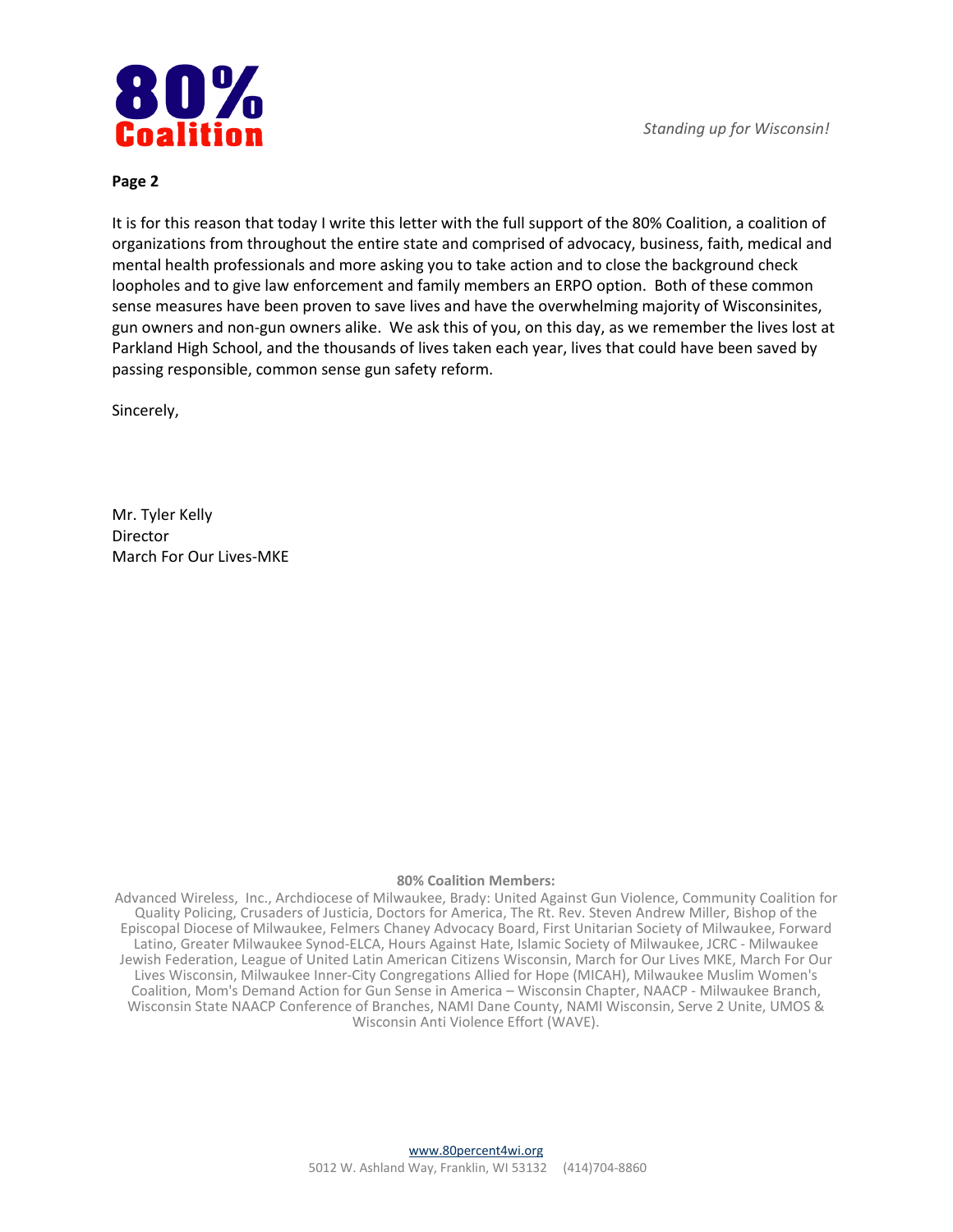

#### **Page 2**

It is for this reason that today I write this letter with the full support of the 80% Coalition, a coalition of organizations from throughout the entire state and comprised of advocacy, business, faith, medical and mental health professionals and more asking you to take action and to close the background check loopholes and to give law enforcement and family members an ERPO option. Both of these common sense measures have been proven to save lives and have the overwhelming majority of Wisconsinites, gun owners and non-gun owners alike. We ask this of you, on this day, as we remember the lives lost at Parkland High School, and the thousands of lives taken each year, lives that could have been saved by passing responsible, common sense gun safety reform.

Sincerely,

Mr. Tyler Kelly Director March For Our Lives-MKE

#### **80% Coalition Members:**

Advanced Wireless, Inc., Archdiocese of Milwaukee, Brady: United Against Gun Violence, Community Coalition for Quality Policing, Crusaders of Justicia, Doctors for America, The Rt. Rev. Steven Andrew Miller, Bishop of the Episcopal Diocese of Milwaukee, Felmers Chaney Advocacy Board, First Unitarian Society of Milwaukee, Forward Latino, Greater Milwaukee Synod-ELCA, Hours Against Hate, Islamic Society of Milwaukee, JCRC - Milwaukee Jewish Federation, League of United Latin American Citizens Wisconsin, March for Our Lives MKE, March For Our Lives Wisconsin, Milwaukee Inner-City Congregations Allied for Hope (MICAH), Milwaukee Muslim Women's Coalition, Mom's Demand Action for Gun Sense in America – Wisconsin Chapter, NAACP - Milwaukee Branch, Wisconsin State NAACP Conference of Branches, NAMI Dane County, NAMI Wisconsin, Serve 2 Unite, UMOS & Wisconsin Anti Violence Effort (WAVE).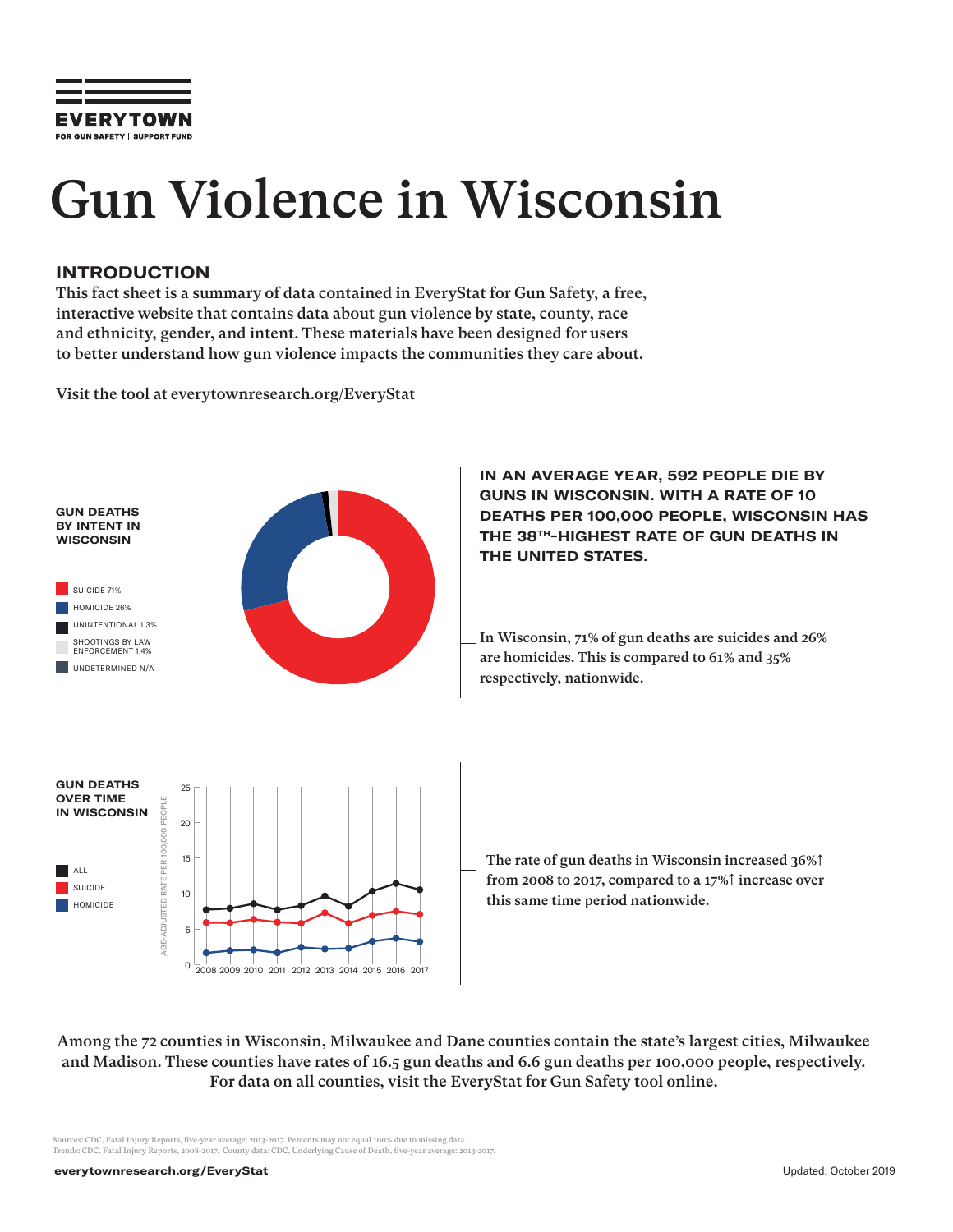

# Gun Violence in Wisconsin

#### **INTRODUCTION**

This fact sheet is a summary of data contained in EveryStat for Gun Safety, a free, interactive website that contains data about gun violence by state, county, race and ethnicity, gender, and intent. These materials have been designed for users to better understand how gun violence impacts the communities they care about.

Visit the tool at everytownresearch.org/EveryStat



**IN AN AVERAGE YEAR, 592 PEOPLE DIE BY GUNS IN WISCONSIN. WITH A RATE OF 10 DEATHS PER 100,000 PEOPLE, WISCONSIN HAS THE 38TH-HIGHEST RATE OF GUN DEATHS IN THE UNITED STATES.** 

In Wisconsin, 71% of gun deaths are suicides and 26% are homicides. This is compared to 61% and 35% respectively, nationwide.

The rate of gun deaths in Wisconsin increased 36%↑ from 2008 to 2017, compared to a 17%↑ increase over this same time period nationwide.

Among the 72 counties in Wisconsin, Milwaukee and Dane counties contain the state's largest cities, Milwaukee and Madison. These counties have rates of 16.5 gun deaths and 6.6 gun deaths per 100,000 people, respectively. For data on all counties, visit the EveryStat for Gun Safety tool online.

urces: CDC, Fatal Injury Reports, five-year average: 2013-2017. Percents may not equal 100% due to missing data. Trends: CDC, Fatal Injury Reports, 2008-2017. County data: CDC, Underlying Cause of Death, five-year average: 2013-2017.